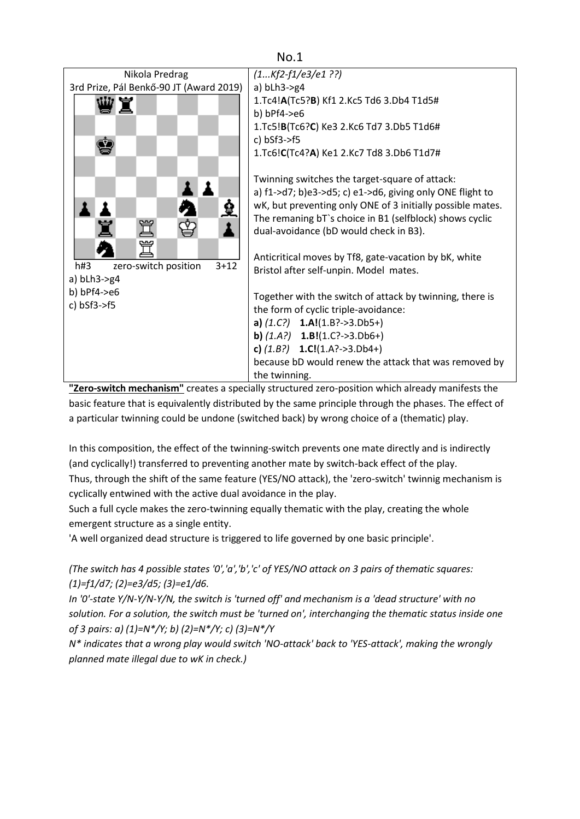

**"Zero-switch mechanism"** creates a specially structured zero-position which already manifests the basic feature that is equivalently distributed by the same principle through the phases. The effect of a particular twinning could be undone (switched back) by wrong choice of a (thematic) play.

In this composition, the effect of the twinning-switch prevents one mate directly and is indirectly (and cyclically!) transferred to preventing another mate by switch-back effect of the play. Thus, through the shift of the same feature (YES/NO attack), the 'zero-switch' twinnig mechanism is cyclically entwined with the active dual avoidance in the play.

Such a full cycle makes the zero-twinning equally thematic with the play, creating the whole emergent structure as a single entity.

'A well organized dead structure is triggered to life governed by one basic principle'.

*(The switch has 4 possible states '0','a','b','c' of YES/NO attack on 3 pairs of thematic squares: (1)=f1/d7; (2)=e3/d5; (3)=e1/d6.*

*In '0'-state Y/N-Y/N-Y/N, the switch is 'turned off' and mechanism is a 'dead structure' with no solution. For a solution, the switch must be 'turned on', interchanging the thematic status inside one of 3 pairs: a) (1)=N\*/Y; b) (2)=N\*/Y; c) (3)=N\*/Y* 

*N\* indicates that a wrong play would switch 'NO-attack' back to 'YES-attack', making the wrongly planned mate illegal due to wK in check.)*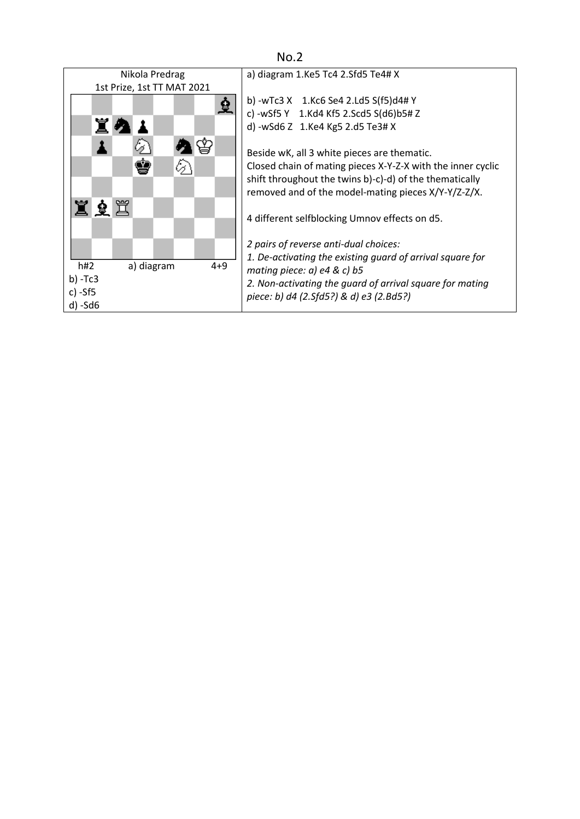| Nikola Predrag                                                                                                           | a) diagram $1$ . Ke 5 Tc 4 2. Sfd 5 Te 4# X                                                                                                                                                                                                                                                                                                                                                                                                     |  |  |
|--------------------------------------------------------------------------------------------------------------------------|-------------------------------------------------------------------------------------------------------------------------------------------------------------------------------------------------------------------------------------------------------------------------------------------------------------------------------------------------------------------------------------------------------------------------------------------------|--|--|
| 1st Prize, 1st TT MAT 2021                                                                                               |                                                                                                                                                                                                                                                                                                                                                                                                                                                 |  |  |
| ⊗<br><u>ede</u>                                                                                                          | b) -wTc3 $X$ 1.Kc6 Se4 2.Ld5 S(f5)d4# Y<br>c) -wSf5 Y 1.Kd4 Kf5 2.Scd5 S(d6)b5# Z<br>d) -wSd6 Z 1.Ke4 Kg5 2.d5 Te3# X<br>Beside wK, all 3 white pieces are thematic.<br>Closed chain of mating pieces X-Y-Z-X with the inner cyclic<br>shift throughout the twins b)-c)-d) of the thematically<br>removed and of the model-mating pieces X/Y-Y/Z-Z/X.<br>4 different selfblocking Umnov effects on d5.<br>2 pairs of reverse anti-dual choices: |  |  |
| 1. De-activating the existing guard of arrival square for<br>h#2<br>$4 + 9$<br>a) diagram<br>mating piece: a) e4 & c) b5 |                                                                                                                                                                                                                                                                                                                                                                                                                                                 |  |  |
| $b) - Tc3$                                                                                                               | 2. Non-activating the quard of arrival square for mating                                                                                                                                                                                                                                                                                                                                                                                        |  |  |
| c) -Sf5                                                                                                                  | piece: b) d4 (2.Sfd5?) & d) e3 (2.Bd5?)                                                                                                                                                                                                                                                                                                                                                                                                         |  |  |
| $d) - Sd6$                                                                                                               |                                                                                                                                                                                                                                                                                                                                                                                                                                                 |  |  |

No.2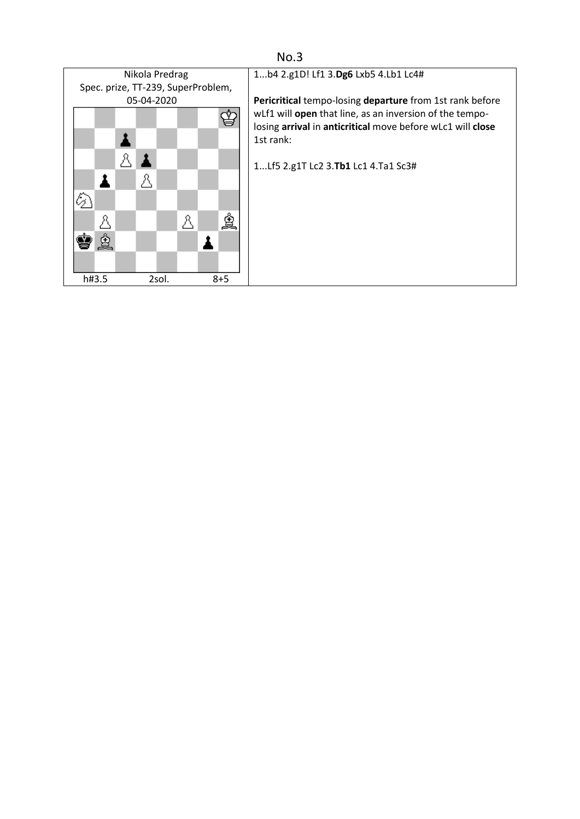

## No.3

1...b4 2.g1D! Lf1 3.**Dg6** Lxb5 4.Lb1 Lc4#

**Pericritical** tempo-losing **departure** from 1st rank before wLf1 will **open** that line, as an inversion of the tempolosing **arrival** in **anticritical** move before wLc1 will **close** 1st rank:

1...Lf5 2.g1T Lc2 3.**Tb1** Lc1 4.Ta1 Sc3#